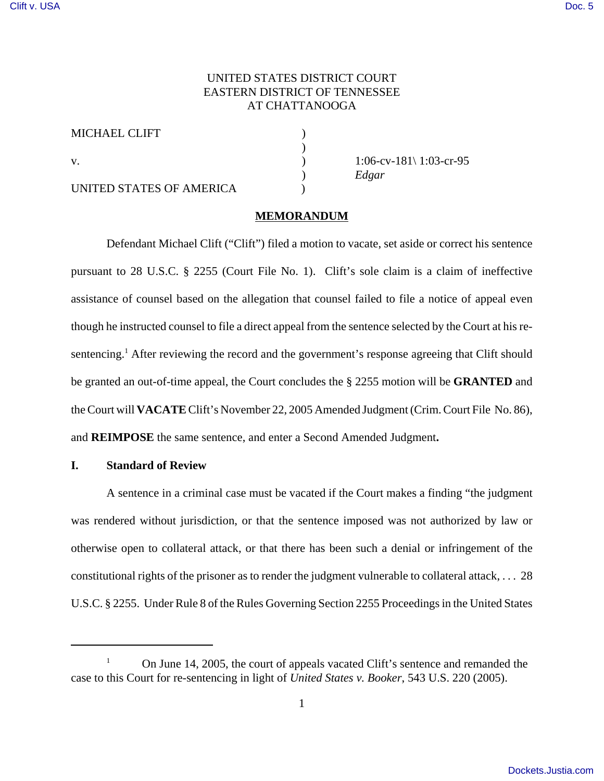# UNITED STATES DISTRICT COURT EASTERN DISTRICT OF TENNESSEE AT CHATTANOOGA

)

| <b>MICHAEL CLIFT</b> |  |
|----------------------|--|
|                      |  |
| V                    |  |

UNITED STATES OF AMERICA

 $1:06$ -cv-181\ 1:03-cr-95 ) *Edgar*

# **MEMORANDUM**

Defendant Michael Clift ("Clift") filed a motion to vacate, set aside or correct his sentence pursuant to 28 U.S.C. § 2255 (Court File No. 1). Clift's sole claim is a claim of ineffective assistance of counsel based on the allegation that counsel failed to file a notice of appeal even though he instructed counsel to file a direct appeal from the sentence selected by the Court at his resentencing.<sup>1</sup> After reviewing the record and the government's response agreeing that Clift should be granted an out-of-time appeal, the Court concludes the § 2255 motion will be **GRANTED** and the Court will **VACATE** Clift's November 22, 2005 Amended Judgment (Crim. Court File No. 86), and **REIMPOSE** the same sentence, and enter a Second Amended Judgment**.**

### **I. Standard of Review**

A sentence in a criminal case must be vacated if the Court makes a finding "the judgment was rendered without jurisdiction, or that the sentence imposed was not authorized by law or otherwise open to collateral attack, or that there has been such a denial or infringement of the constitutional rights of the prisoner as to render the judgment vulnerable to collateral attack, . . . 28 U.S.C. § 2255. Under Rule 8 of the Rules Governing Section 2255 Proceedings in the United States

<sup>1</sup> On June 14, 2005, the court of appeals vacated Clift's sentence and remanded the case to this Court for re-sentencing in light of *United States v. Booker*, 543 U.S. 220 (2005).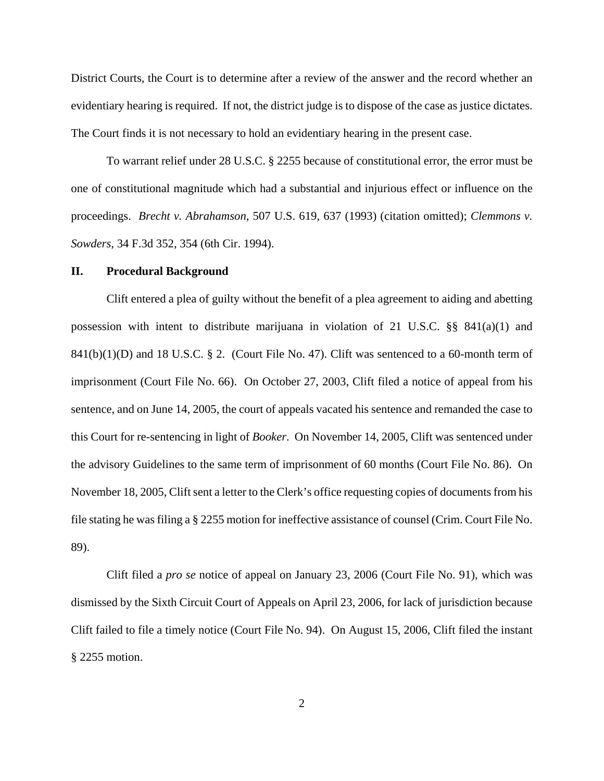District Courts, the Court is to determine after a review of the answer and the record whether an evidentiary hearing is required. If not, the district judge is to dispose of the case as justice dictates. The Court finds it is not necessary to hold an evidentiary hearing in the present case.

To warrant relief under 28 U.S.C. § 2255 because of constitutional error, the error must be one of constitutional magnitude which had a substantial and injurious effect or influence on the proceedings. *Brecht v. Abrahamson*, 507 U.S. 619, 637 (1993) (citation omitted); *Clemmons v. Sowders*, 34 F.3d 352, 354 (6th Cir. 1994).

#### **II. Procedural Background**

Clift entered a plea of guilty without the benefit of a plea agreement to aiding and abetting possession with intent to distribute marijuana in violation of 21 U.S.C.  $\S$ § 841(a)(1) and  $841(b)(1)(D)$  and 18 U.S.C. § 2. (Court File No. 47). Clift was sentenced to a 60-month term of imprisonment (Court File No. 66). On October 27, 2003, Clift filed a notice of appeal from his sentence, and on June 14, 2005, the court of appeals vacated his sentence and remanded the case to this Court for re-sentencing in light of *Booker*. On November 14, 2005, Clift was sentenced under the advisory Guidelines to the same term of imprisonment of 60 months (Court File No. 86). On November 18, 2005, Clift sent a letter to the Clerk's office requesting copies of documents from his file stating he was filing a § 2255 motion for ineffective assistance of counsel (Crim. Court File No. 89).

Clift filed a *pro se* notice of appeal on January 23, 2006 (Court File No. 91), which was dismissed by the Sixth Circuit Court of Appeals on April 23, 2006, for lack of jurisdiction because Clift failed to file a timely notice (Court File No. 94). On August 15, 2006, Clift filed the instant § 2255 motion.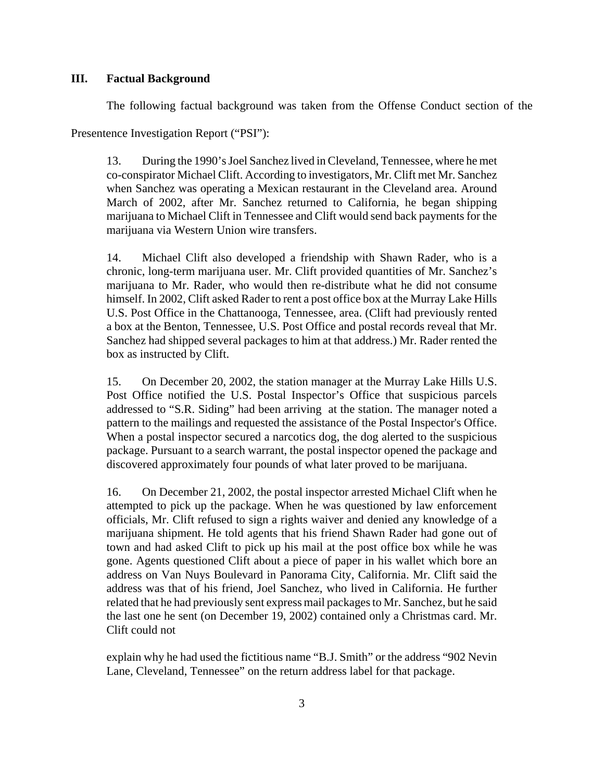#### **III. Factual Background**

The following factual background was taken from the Offense Conduct section of the

Presentence Investigation Report ("PSI"):

13. During the 1990's Joel Sanchez lived in Cleveland, Tennessee, where he met co-conspirator Michael Clift. According to investigators, Mr. Clift met Mr. Sanchez when Sanchez was operating a Mexican restaurant in the Cleveland area. Around March of 2002, after Mr. Sanchez returned to California, he began shipping marijuana to Michael Clift in Tennessee and Clift would send back payments for the marijuana via Western Union wire transfers.

14. Michael Clift also developed a friendship with Shawn Rader, who is a chronic, long-term marijuana user. Mr. Clift provided quantities of Mr. Sanchez's marijuana to Mr. Rader, who would then re-distribute what he did not consume himself. In 2002, Clift asked Rader to rent a post office box at the Murray Lake Hills U.S. Post Office in the Chattanooga, Tennessee, area. (Clift had previously rented a box at the Benton, Tennessee, U.S. Post Office and postal records reveal that Mr. Sanchez had shipped several packages to him at that address.) Mr. Rader rented the box as instructed by Clift.

15. On December 20, 2002, the station manager at the Murray Lake Hills U.S. Post Office notified the U.S. Postal Inspector's Office that suspicious parcels addressed to "S.R. Siding" had been arriving at the station. The manager noted a pattern to the mailings and requested the assistance of the Postal Inspector's Office. When a postal inspector secured a narcotics dog, the dog alerted to the suspicious package. Pursuant to a search warrant, the postal inspector opened the package and discovered approximately four pounds of what later proved to be marijuana.

16. On December 21, 2002, the postal inspector arrested Michael Clift when he attempted to pick up the package. When he was questioned by law enforcement officials, Mr. Clift refused to sign a rights waiver and denied any knowledge of a marijuana shipment. He told agents that his friend Shawn Rader had gone out of town and had asked Clift to pick up his mail at the post office box while he was gone. Agents questioned Clift about a piece of paper in his wallet which bore an address on Van Nuys Boulevard in Panorama City, California. Mr. Clift said the address was that of his friend, Joel Sanchez, who lived in California. He further related that he had previously sent express mail packages to Mr. Sanchez, but he said the last one he sent (on December 19, 2002) contained only a Christmas card. Mr. Clift could not

explain why he had used the fictitious name "B.J. Smith" or the address "902 Nevin Lane, Cleveland, Tennessee" on the return address label for that package.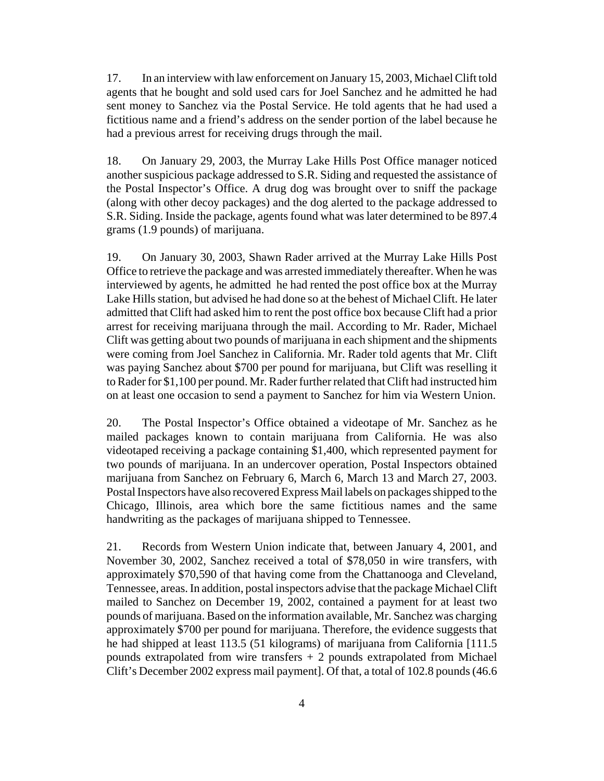17. In an interview with law enforcement on January 15, 2003, Michael Clift told agents that he bought and sold used cars for Joel Sanchez and he admitted he had sent money to Sanchez via the Postal Service. He told agents that he had used a fictitious name and a friend's address on the sender portion of the label because he had a previous arrest for receiving drugs through the mail.

18. On January 29, 2003, the Murray Lake Hills Post Office manager noticed another suspicious package addressed to S.R. Siding and requested the assistance of the Postal Inspector's Office. A drug dog was brought over to sniff the package (along with other decoy packages) and the dog alerted to the package addressed to S.R. Siding. Inside the package, agents found what was later determined to be 897.4 grams (1.9 pounds) of marijuana.

19. On January 30, 2003, Shawn Rader arrived at the Murray Lake Hills Post Office to retrieve the package and was arrested immediately thereafter. When he was interviewed by agents, he admitted he had rented the post office box at the Murray Lake Hills station, but advised he had done so at the behest of Michael Clift. He later admitted that Clift had asked him to rent the post office box because Clift had a prior arrest for receiving marijuana through the mail. According to Mr. Rader, Michael Clift was getting about two pounds of marijuana in each shipment and the shipments were coming from Joel Sanchez in California. Mr. Rader told agents that Mr. Clift was paying Sanchez about \$700 per pound for marijuana, but Clift was reselling it to Rader for \$1,100 per pound. Mr. Rader further related that Clift had instructed him on at least one occasion to send a payment to Sanchez for him via Western Union.

20. The Postal Inspector's Office obtained a videotape of Mr. Sanchez as he mailed packages known to contain marijuana from California. He was also videotaped receiving a package containing \$1,400, which represented payment for two pounds of marijuana. In an undercover operation, Postal Inspectors obtained marijuana from Sanchez on February 6, March 6, March 13 and March 27, 2003. Postal Inspectors have also recovered Express Mail labels on packages shipped to the Chicago, Illinois, area which bore the same fictitious names and the same handwriting as the packages of marijuana shipped to Tennessee.

21. Records from Western Union indicate that, between January 4, 2001, and November 30, 2002, Sanchez received a total of \$78,050 in wire transfers, with approximately \$70,590 of that having come from the Chattanooga and Cleveland, Tennessee, areas. In addition, postal inspectors advise that the package Michael Clift mailed to Sanchez on December 19, 2002, contained a payment for at least two pounds of marijuana. Based on the information available, Mr. Sanchez was charging approximately \$700 per pound for marijuana. Therefore, the evidence suggests that he had shipped at least 113.5 (51 kilograms) of marijuana from California [111.5] pounds extrapolated from wire transfers  $+2$  pounds extrapolated from Michael Clift's December 2002 express mail payment]. Of that, a total of 102.8 pounds (46.6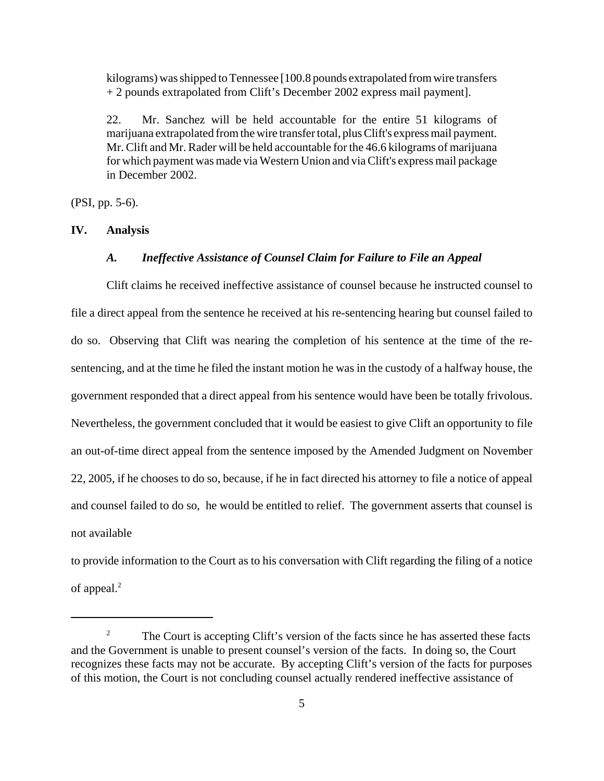kilograms) was shipped to Tennessee [100.8 pounds extrapolated from wire transfers + 2 pounds extrapolated from Clift's December 2002 express mail payment].

22. Mr. Sanchez will be held accountable for the entire 51 kilograms of marijuana extrapolated from the wire transfer total, plus Clift's express mail payment. Mr. Clift and Mr. Rader will be held accountable for the 46.6 kilograms of marijuana for which payment was made via Western Union and via Clift's express mail package in December 2002.

(PSI, pp. 5-6).

#### **IV. Analysis**

#### *A. Ineffective Assistance of Counsel Claim for Failure to File an Appeal*

Clift claims he received ineffective assistance of counsel because he instructed counsel to file a direct appeal from the sentence he received at his re-sentencing hearing but counsel failed to do so. Observing that Clift was nearing the completion of his sentence at the time of the resentencing, and at the time he filed the instant motion he was in the custody of a halfway house, the government responded that a direct appeal from his sentence would have been be totally frivolous. Nevertheless, the government concluded that it would be easiest to give Clift an opportunity to file an out-of-time direct appeal from the sentence imposed by the Amended Judgment on November 22, 2005, if he chooses to do so, because, if he in fact directed his attorney to file a notice of appeal and counsel failed to do so, he would be entitled to relief. The government asserts that counsel is not available

to provide information to the Court as to his conversation with Clift regarding the filing of a notice of appeal.<sup>2</sup>

<sup>&</sup>lt;sup>2</sup> The Court is accepting Clift's version of the facts since he has asserted these facts and the Government is unable to present counsel's version of the facts. In doing so, the Court recognizes these facts may not be accurate. By accepting Clift's version of the facts for purposes of this motion, the Court is not concluding counsel actually rendered ineffective assistance of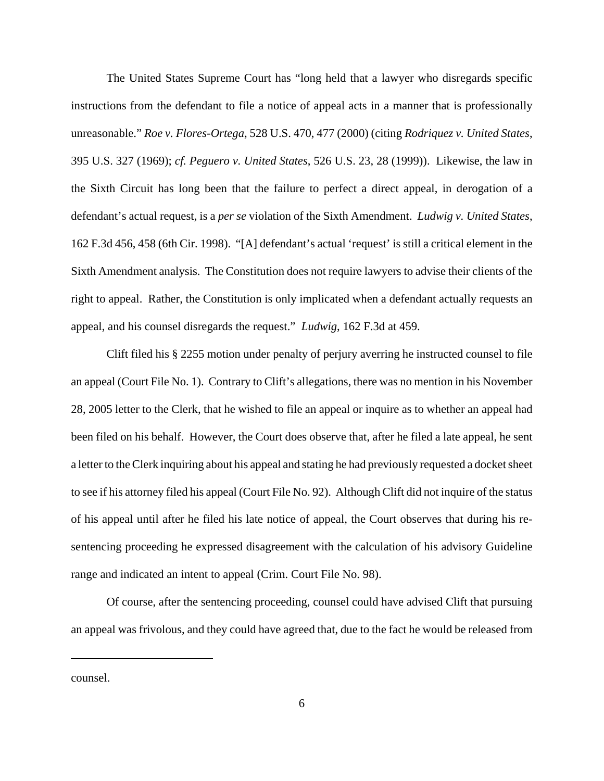The United States Supreme Court has "long held that a lawyer who disregards specific instructions from the defendant to file a notice of appeal acts in a manner that is professionally unreasonable." *Roe v. Flores-Ortega*, 528 U.S. 470, 477 (2000) (citing *Rodriquez v. United States*, 395 U.S. 327 (1969); *cf. Peguero v. United States*, 526 U.S. 23, 28 (1999)). Likewise, the law in the Sixth Circuit has long been that the failure to perfect a direct appeal, in derogation of a defendant's actual request, is a *per se* violation of the Sixth Amendment. *Ludwig v. United States*, 162 F.3d 456, 458 (6th Cir. 1998). "[A] defendant's actual 'request' is still a critical element in the Sixth Amendment analysis. The Constitution does not require lawyers to advise their clients of the right to appeal. Rather, the Constitution is only implicated when a defendant actually requests an appeal, and his counsel disregards the request." *Ludwig*, 162 F.3d at 459.

Clift filed his § 2255 motion under penalty of perjury averring he instructed counsel to file an appeal (Court File No. 1). Contrary to Clift's allegations, there was no mention in his November 28, 2005 letter to the Clerk, that he wished to file an appeal or inquire as to whether an appeal had been filed on his behalf. However, the Court does observe that, after he filed a late appeal, he sent a letter to the Clerk inquiring about his appeal and stating he had previously requested a docket sheet to see if his attorney filed his appeal (Court File No. 92). Although Clift did not inquire of the status of his appeal until after he filed his late notice of appeal, the Court observes that during his resentencing proceeding he expressed disagreement with the calculation of his advisory Guideline range and indicated an intent to appeal (Crim. Court File No. 98).

Of course, after the sentencing proceeding, counsel could have advised Clift that pursuing an appeal was frivolous, and they could have agreed that, due to the fact he would be released from

counsel.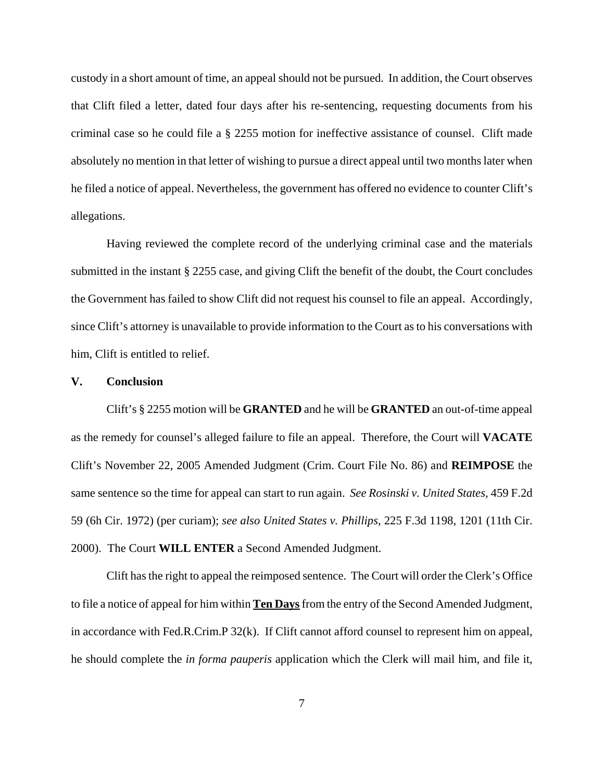custody in a short amount of time, an appeal should not be pursued. In addition, the Court observes that Clift filed a letter, dated four days after his re-sentencing, requesting documents from his criminal case so he could file a § 2255 motion for ineffective assistance of counsel. Clift made absolutely no mention in that letter of wishing to pursue a direct appeal until two months later when he filed a notice of appeal. Nevertheless, the government has offered no evidence to counter Clift's allegations.

Having reviewed the complete record of the underlying criminal case and the materials submitted in the instant § 2255 case, and giving Clift the benefit of the doubt, the Court concludes the Government has failed to show Clift did not request his counsel to file an appeal. Accordingly, since Clift's attorney is unavailable to provide information to the Court as to his conversations with him, Clift is entitled to relief.

# **V. Conclusion**

Clift's § 2255 motion will be **GRANTED** and he will be **GRANTED** an out-of-time appeal as the remedy for counsel's alleged failure to file an appeal. Therefore, the Court will **VACATE** Clift's November 22, 2005 Amended Judgment (Crim. Court File No. 86) and **REIMPOSE** the same sentence so the time for appeal can start to run again. *See Rosinski v. United States*, 459 F.2d 59 (6h Cir. 1972) (per curiam); *see also United States v. Phillips*, 225 F.3d 1198, 1201 (11th Cir. 2000). The Court **WILL ENTER** a Second Amended Judgment.

Clift has the right to appeal the reimposed sentence. The Court will order the Clerk's Office to file a notice of appeal for him within **Ten Days** from the entry of the Second Amended Judgment, in accordance with Fed.R.Crim.P 32(k). If Clift cannot afford counsel to represent him on appeal, he should complete the *in forma pauperis* application which the Clerk will mail him, and file it,